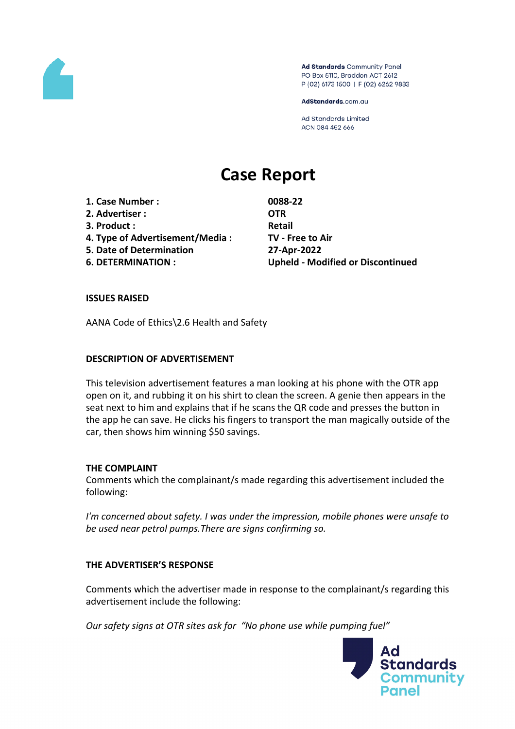

Ad Standards Community Panel PO Box 5110, Braddon ACT 2612 P (02) 6173 1500 | F (02) 6262 9833

AdStandards.com.au

**Ad Standards Limited** ACN 084 452 666

# **Case Report**

**1. Case Number : 0088-22**

- **2. Advertiser : OTR**
- **3. Product : Retail**
- **4. Type of Advertisement/Media : TV - Free to Air**
- **5. Date of Determination 27-Apr-2022**

**6. DETERMINATION : Upheld - Modified or Discontinued**

# **ISSUES RAISED**

AANA Code of Ethics\2.6 Health and Safety

## **DESCRIPTION OF ADVERTISEMENT**

This television advertisement features a man looking at his phone with the OTR app open on it, and rubbing it on his shirt to clean the screen. A genie then appears in the seat next to him and explains that if he scans the QR code and presses the button in the app he can save. He clicks his fingers to transport the man magically outside of the car, then shows him winning \$50 savings.

## **THE COMPLAINT**

Comments which the complainant/s made regarding this advertisement included the following:

*I'm concerned about safety. I was under the impression, mobile phones were unsafe to be used near petrol pumps.There are signs confirming so.*

# **THE ADVERTISER'S RESPONSE**

Comments which the advertiser made in response to the complainant/s regarding this advertisement include the following:

*Our safety signs at OTR sites ask for "No phone use while pumping fuel"*

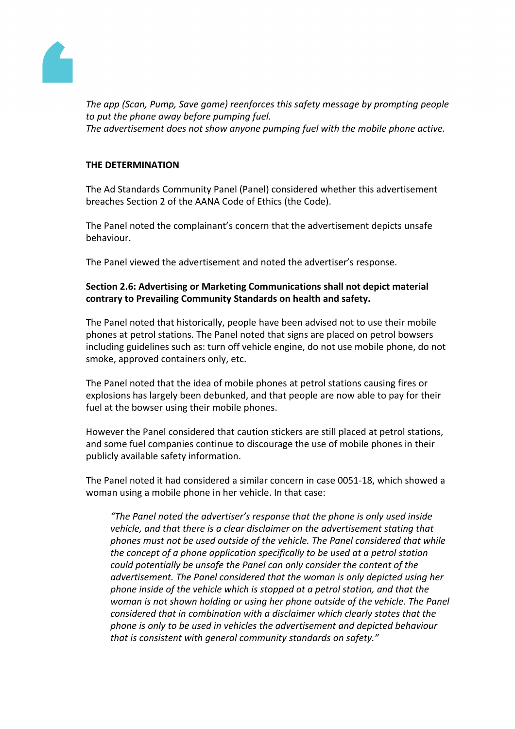

*The app (Scan, Pump, Save game) reenforces this safety message by prompting people to put the phone away before pumping fuel. The advertisement does not show anyone pumping fuel with the mobile phone active.*

# **THE DETERMINATION**

The Ad Standards Community Panel (Panel) considered whether this advertisement breaches Section 2 of the AANA Code of Ethics (the Code).

The Panel noted the complainant's concern that the advertisement depicts unsafe behaviour.

The Panel viewed the advertisement and noted the advertiser's response.

# **Section 2.6: Advertising or Marketing Communications shall not depict material contrary to Prevailing Community Standards on health and safety.**

The Panel noted that historically, people have been advised not to use their mobile phones at petrol stations. The Panel noted that signs are placed on petrol bowsers including guidelines such as: turn off vehicle engine, do not use mobile phone, do not smoke, approved containers only, etc.

The Panel noted that the idea of mobile phones at petrol stations causing fires or explosions has largely been debunked, and that people are now able to pay for their fuel at the bowser using their mobile phones.

However the Panel considered that caution stickers are still placed at petrol stations, and some fuel companies continue to discourage the use of mobile phones in their publicly available safety information.

The Panel noted it had considered a similar concern in case 0051-18, which showed a woman using a mobile phone in her vehicle. In that case:

*"The Panel noted the advertiser's response that the phone is only used inside vehicle, and that there is a clear disclaimer on the advertisement stating that phones must not be used outside of the vehicle. The Panel considered that while the concept of a phone application specifically to be used at a petrol station could potentially be unsafe the Panel can only consider the content of the advertisement. The Panel considered that the woman is only depicted using her phone inside of the vehicle which is stopped at a petrol station, and that the woman is not shown holding or using her phone outside of the vehicle. The Panel considered that in combination with a disclaimer which clearly states that the phone is only to be used in vehicles the advertisement and depicted behaviour that is consistent with general community standards on safety."*